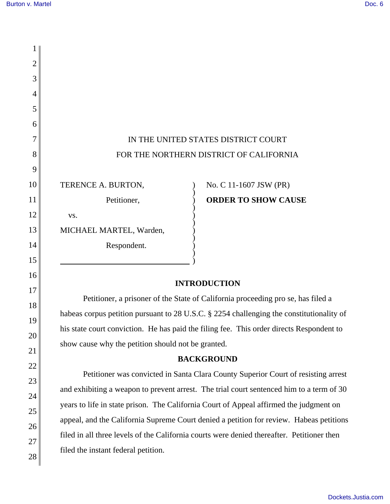21

22

23

24

25

26

27

28

| 2  |                                                                                          |                                                                                          |  |
|----|------------------------------------------------------------------------------------------|------------------------------------------------------------------------------------------|--|
| 3  |                                                                                          |                                                                                          |  |
| 4  |                                                                                          |                                                                                          |  |
| 5  |                                                                                          |                                                                                          |  |
| 6  |                                                                                          |                                                                                          |  |
| 7  | IN THE UNITED STATES DISTRICT COURT                                                      |                                                                                          |  |
| 8  | FOR THE NORTHERN DISTRICT OF CALIFORNIA                                                  |                                                                                          |  |
| 9  |                                                                                          |                                                                                          |  |
| 10 | TERENCE A. BURTON,                                                                       | No. C 11-1607 JSW (PR)                                                                   |  |
| 11 | Petitioner,                                                                              | <b>ORDER TO SHOW CAUSE</b>                                                               |  |
| 12 | VS.                                                                                      |                                                                                          |  |
| 13 | MICHAEL MARTEL, Warden,                                                                  |                                                                                          |  |
| 14 | Respondent.                                                                              |                                                                                          |  |
| 15 |                                                                                          |                                                                                          |  |
| 16 | <b>INTRODUCTION</b>                                                                      |                                                                                          |  |
| 17 |                                                                                          |                                                                                          |  |
| 18 | Petitioner, a prisoner of the State of California proceeding pro se, has filed a         |                                                                                          |  |
| 19 | habeas corpus petition pursuant to 28 U.S.C. § 2254 challenging the constitutionality of |                                                                                          |  |
| 20 |                                                                                          | his state court conviction. He has paid the filing fee. This order directs Respondent to |  |

show cause why the petition should not be granted.

## **BACKGROUND**

Petitioner was convicted in Santa Clara County Superior Court of resisting arrest and exhibiting a weapon to prevent arrest. The trial court sentenced him to a term of 30 years to life in state prison. The California Court of Appeal affirmed the judgment on appeal, and the California Supreme Court denied a petition for review. Habeas petitions filed in all three levels of the California courts were denied thereafter. Petitioner then filed the instant federal petition.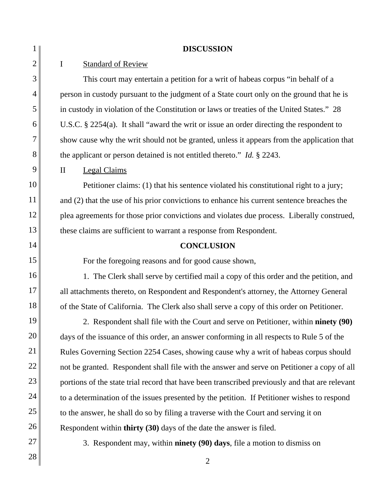| 1              | <b>DISCUSSION</b>                                                                              |  |  |
|----------------|------------------------------------------------------------------------------------------------|--|--|
| $\overline{2}$ | $\mathbf I$<br><b>Standard of Review</b>                                                       |  |  |
| 3              | This court may entertain a petition for a writ of habeas corpus "in behalf of a                |  |  |
| 4              | person in custody pursuant to the judgment of a State court only on the ground that he is      |  |  |
| 5              | in custody in violation of the Constitution or laws or treaties of the United States." 28      |  |  |
| 6              | U.S.C. $\S$ 2254(a). It shall "award the writ or issue an order directing the respondent to    |  |  |
| 7              | show cause why the writ should not be granted, unless it appears from the application that     |  |  |
| 8              | the applicant or person detained is not entitled thereto." Id. $\S$ 2243.                      |  |  |
| 9              | $\mathbf{I}$<br><b>Legal Claims</b>                                                            |  |  |
| 10             | Petitioner claims: (1) that his sentence violated his constitutional right to a jury;          |  |  |
| 11             | and (2) that the use of his prior convictions to enhance his current sentence breaches the     |  |  |
| 12             | plea agreements for those prior convictions and violates due process. Liberally construed,     |  |  |
| 13             | these claims are sufficient to warrant a response from Respondent.                             |  |  |
| 14             | <b>CONCLUSION</b>                                                                              |  |  |
| 15             | For the foregoing reasons and for good cause shown,                                            |  |  |
| 16             | 1. The Clerk shall serve by certified mail a copy of this order and the petition, and          |  |  |
| 17             | all attachments thereto, on Respondent and Respondent's attorney, the Attorney General         |  |  |
| 18             | of the State of California. The Clerk also shall serve a copy of this order on Petitioner.     |  |  |
| 19             | 2. Respondent shall file with the Court and serve on Petitioner, within ninety (90)            |  |  |
| 20             | days of the issuance of this order, an answer conforming in all respects to Rule 5 of the      |  |  |
| 21             | Rules Governing Section 2254 Cases, showing cause why a writ of habeas corpus should           |  |  |
| 22             | not be granted. Respondent shall file with the answer and serve on Petitioner a copy of all    |  |  |
| 23             | portions of the state trial record that have been transcribed previously and that are relevant |  |  |
| 24             | to a determination of the issues presented by the petition. If Petitioner wishes to respond    |  |  |
| 25             | to the answer, he shall do so by filing a traverse with the Court and serving it on            |  |  |
| 26             | Respondent within <b>thirty</b> (30) days of the date the answer is filed.                     |  |  |
| 27             | 3. Respondent may, within <b>ninety</b> (90) days, file a motion to dismiss on                 |  |  |
| 28             | $\overline{2}$                                                                                 |  |  |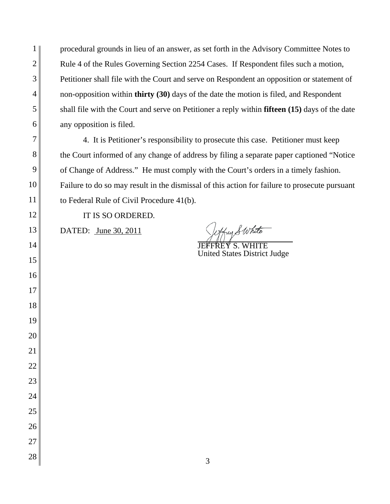procedural grounds in lieu of an answer, as set forth in the Advisory Committee Notes to Rule 4 of the Rules Governing Section 2254 Cases. If Respondent files such a motion, Petitioner shall file with the Court and serve on Respondent an opposition or statement of non-opposition within **thirty (30)** days of the date the motion is filed, and Respondent shall file with the Court and serve on Petitioner a reply within **fifteen (15)** days of the date any opposition is filed.

4. It is Petitioner's responsibility to prosecute this case. Petitioner must keep the Court informed of any change of address by filing a separate paper captioned "Notice of Change of Address." He must comply with the Court's orders in a timely fashion. Failure to do so may result in the dismissal of this action for failure to prosecute pursuant to Federal Rule of Civil Procedure 41(b).

IT IS SO ORDERED.

DATED: <u>June 30, 2011</u> Sytty Swhite

United States District Judge